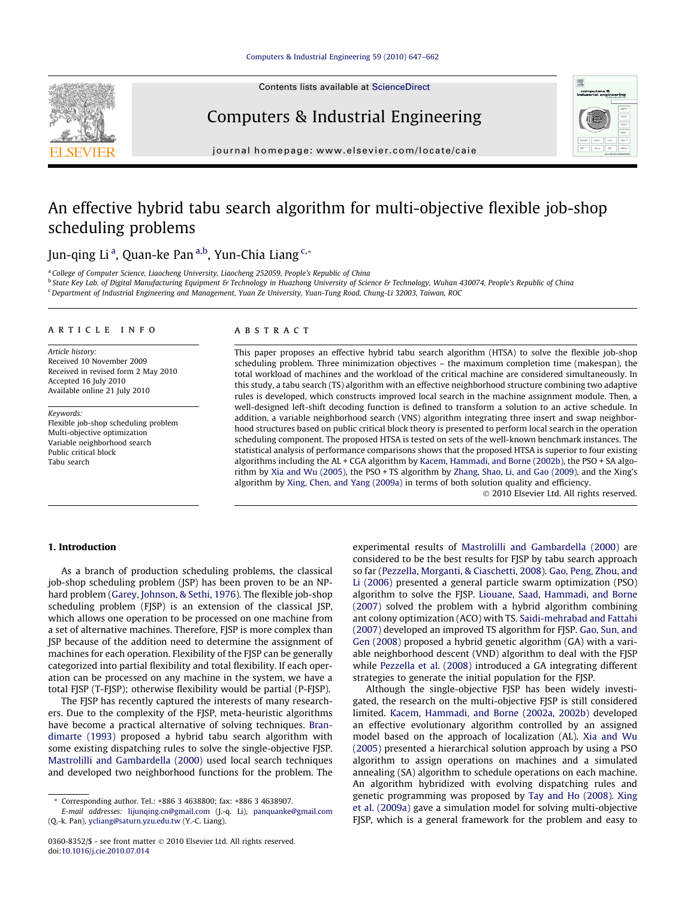

Contents lists available at [ScienceDirect](http://www.sciencedirect.com/science/journal/03608352)

### Computers & Industrial Engineering

journal homepage: [www.elsevier.com/locate/caie](http://www.elsevier.com/locate/caie)

## An effective hybrid tabu search algorithm for multi-objective flexible job-shop scheduling problems

Jun-qing Li<sup>a</sup>, Quan-ke Pan<sup>a,b</sup>, Yun-Chia Liang<sup>c,</sup>\*

<sup>a</sup> College of Computer Science, Liaocheng University, Liaocheng 252059, People's Republic of China

<sup>b</sup> State Key Lab. of Digital Manufacturing Equipment & Technology in Huazhong University of Science & Technology, Wuhan 430074, People's Republic of China <sup>c</sup> Department of Industrial Engineering and Management, Yuan Ze University, Yuan-Tung Road, Chung-Li 32003, Taiwan, ROC

#### article info

Article history: Received 10 November 2009 Received in revised form 2 May 2010 Accepted 16 July 2010 Available online 21 July 2010

Keywords: Flexible job-shop scheduling problem Multi-objective optimization Variable neighborhood search Public critical block Tabu search

#### ABSTRACT

This paper proposes an effective hybrid tabu search algorithm (HTSA) to solve the flexible job-shop scheduling problem. Three minimization objectives – the maximum completion time (makespan), the total workload of machines and the workload of the critical machine are considered simultaneously. In this study, a tabu search (TS) algorithm with an effective neighborhood structure combining two adaptive rules is developed, which constructs improved local search in the machine assignment module. Then, a well-designed left-shift decoding function is defined to transform a solution to an active schedule. In addition, a variable neighborhood search (VNS) algorithm integrating three insert and swap neighborhood structures based on public critical block theory is presented to perform local search in the operation scheduling component. The proposed HTSA is tested on sets of the well-known benchmark instances. The statistical analysis of performance comparisons shows that the proposed HTSA is superior to four existing algorithms including the AL + CGA algorithm by [Kacem, Hammadi, and Borne \(2002b\)](#page--1-0), the PSO + SA algorithm by [Xia and Wu \(2005\)](#page--1-0), the PSO + TS algorithm by [Zhang, Shao, Li, and Gao \(2009\)](#page--1-0), and the Xing's algorithm by [Xing, Chen, and Yang \(2009a\)](#page--1-0) in terms of both solution quality and efficiency.

- 2010 Elsevier Ltd. All rights reserved.

#### 1. Introduction

As a branch of production scheduling problems, the classical job-shop scheduling problem (JSP) has been proven to be an NPhard problem ([Garey, Johnson, & Sethi, 1976](#page--1-0)). The flexible job-shop scheduling problem (FJSP) is an extension of the classical JSP, which allows one operation to be processed on one machine from a set of alternative machines. Therefore, FJSP is more complex than JSP because of the addition need to determine the assignment of machines for each operation. Flexibility of the FJSP can be generally categorized into partial flexibility and total flexibility. If each operation can be processed on any machine in the system, we have a total FJSP (T-FJSP); otherwise flexibility would be partial (P-FJSP).

The FJSP has recently captured the interests of many researchers. Due to the complexity of the FJSP, meta-heuristic algorithms have become a practical alternative of solving techniques. [Bran](#page--1-0)[dimarte \(1993\)](#page--1-0) proposed a hybrid tabu search algorithm with some existing dispatching rules to solve the single-objective FJSP. [Mastrolilli and Gambardella \(2000\)](#page--1-0) used local search techniques and developed two neighborhood functions for the problem. The experimental results of [Mastrolilli and Gambardella \(2000\)](#page--1-0) are considered to be the best results for FJSP by tabu search approach so far [\(Pezzella, Morganti, & Ciaschetti, 2008\)](#page--1-0). [Gao, Peng, Zhou, and](#page--1-0) [Li \(2006\)](#page--1-0) presented a general particle swarm optimization (PSO) algorithm to solve the FJSP. [Liouane, Saad, Hammadi, and Borne](#page--1-0) [\(2007\)](#page--1-0) solved the problem with a hybrid algorithm combining ant colony optimization (ACO) with TS. [Saidi-mehrabad and Fattahi](#page--1-0) [\(2007\)](#page--1-0) developed an improved TS algorithm for FJSP. [Gao, Sun, and](#page--1-0) [Gen \(2008\)](#page--1-0) proposed a hybrid genetic algorithm (GA) with a variable neighborhood descent (VND) algorithm to deal with the FJSP while [Pezzella et al. \(2008\)](#page--1-0) introduced a GA integrating different strategies to generate the initial population for the FJSP.

Although the single-objective FJSP has been widely investigated, the research on the multi-objective FJSP is still considered limited. [Kacem, Hammadi, and Borne \(2002a, 2002b\)](#page--1-0) developed an effective evolutionary algorithm controlled by an assigned model based on the approach of localization (AL). [Xia and Wu](#page--1-0) [\(2005\)](#page--1-0) presented a hierarchical solution approach by using a PSO algorithm to assign operations on machines and a simulated annealing (SA) algorithm to schedule operations on each machine. An algorithm hybridized with evolving dispatching rules and genetic programming was proposed by [Tay and Ho \(2008\).](#page--1-0) [Xing](#page--1-0) [et al. \(2009a\)](#page--1-0) gave a simulation model for solving multi-objective FJSP, which is a general framework for the problem and easy to

<sup>\*</sup> Corresponding author. Tel.: +886 3 4638800; fax: +886 3 4638907.

E-mail addresses: [lijunqing.cn@gmail.com](mailto:lijunqing.cn@gmail.com) (J.-q. Li), [panquanke@gmail.com](mailto:panquanke@gmail.com      ) (Q.-k. Pan), [ycliang@saturn.yzu.edu.tw](mailto:ycliang@saturn.yzu.edu.tw ) (Y.-C. Liang).

<sup>0360-8352/\$ -</sup> see front matter © 2010 Elsevier Ltd. All rights reserved. doi[:10.1016/j.cie.2010.07.014](http://dx.doi.org/10.1016/j.cie.2010.07.014)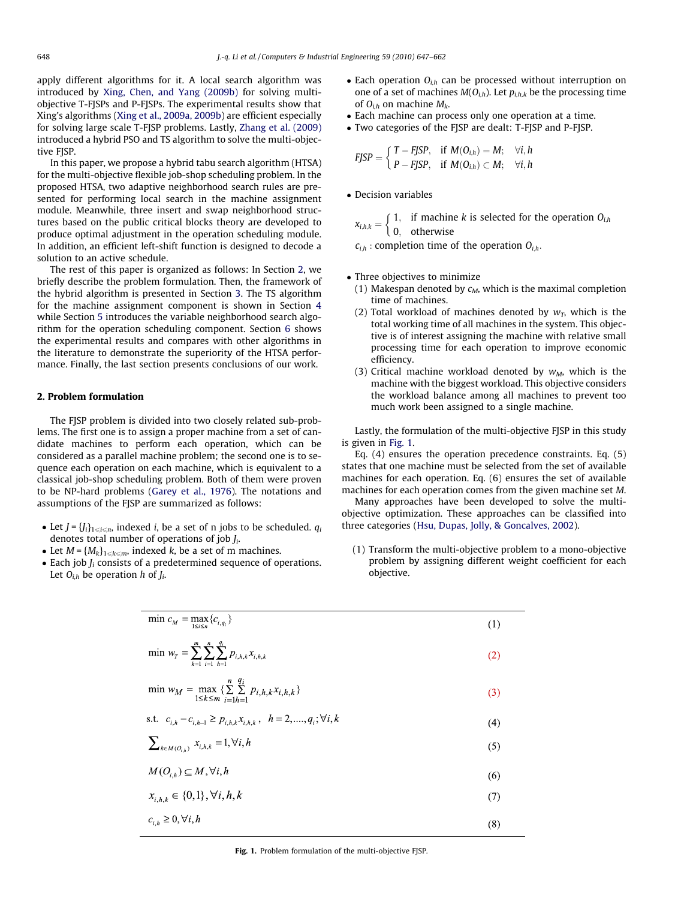apply different algorithms for it. A local search algorithm was introduced by [Xing, Chen, and Yang \(2009b\)](#page--1-0) for solving multiobjective T-FJSPs and P-FJSPs. The experimental results show that Xing's algorithms [\(Xing et al., 2009a, 2009b](#page--1-0)) are efficient especially for solving large scale T-FJSP problems. Lastly, [Zhang et al. \(2009\)](#page--1-0) introduced a hybrid PSO and TS algorithm to solve the multi-objective FJSP.

In this paper, we propose a hybrid tabu search algorithm (HTSA) for the multi-objective flexible job-shop scheduling problem. In the proposed HTSA, two adaptive neighborhood search rules are presented for performing local search in the machine assignment module. Meanwhile, three insert and swap neighborhood structures based on the public critical blocks theory are developed to produce optimal adjustment in the operation scheduling module. In addition, an efficient left-shift function is designed to decode a solution to an active schedule.

The rest of this paper is organized as follows: In Section 2, we briefly describe the problem formulation. Then, the framework of the hybrid algorithm is presented in Section [3](#page--1-0). The TS algorithm for the machine assignment component is shown in Section [4](#page--1-0) while Section [5](#page--1-0) introduces the variable neighborhood search algorithm for the operation scheduling component. Section [6](#page--1-0) shows the experimental results and compares with other algorithms in the literature to demonstrate the superiority of the HTSA performance. Finally, the last section presents conclusions of our work.

#### 2. Problem formulation

The FJSP problem is divided into two closely related sub-problems. The first one is to assign a proper machine from a set of candidate machines to perform each operation, which can be considered as a parallel machine problem; the second one is to sequence each operation on each machine, which is equivalent to a classical job-shop scheduling problem. Both of them were proven to be NP-hard problems [\(Garey et al., 1976](#page--1-0)). The notations and assumptions of the FJSP are summarized as follows:

- Let  $J = \{J_i\}_{1 \leq i \leq n}$ , indexed i, be a set of n jobs to be scheduled.  $q_i$ denotes total number of operations of job  $J_i$ .
- Let  $M = \{M_k\}_{1 \leq k \leq m}$ , indexed k, be a set of m machines.
- Each job  $J_i$  consists of a predetermined sequence of operations. Let  $O_{i,h}$  be operation h of  $J_i$ .
- Each operation  $O_{i,h}$  can be processed without interruption on one of a set of machines  $M(O_{i,h})$ . Let  $p_{i,h,k}$  be the processing time of  $O_{i,h}$  on machine  $M_k$ .
- Each machine can process only one operation at a time.
- Two categories of the FJSP are dealt: T-FJSP and P-FJSP.

$$
FJSP = \begin{cases} T - FJSP, & \text{if } M(O_{i,h}) = M; \quad \forall i, h \\ P - FJSP, & \text{if } M(O_{i,h}) \subset M; \quad \forall i, h \end{cases}
$$

- Decision variables

 $x_{i,h,k} = \begin{cases} 1, & \text{if machine } k \text{ is selected for the operation } O_{i,h} \\ 0, & \text{otherwise} \end{cases}$ 

 $c_{i,h}$ : completion time of the operation  $O_{i,h}$ .

- Three objectives to minimize
- (1) Makespan denoted by  $c_M$ , which is the maximal completion time of machines.
- (2) Total workload of machines denoted by  $w_T$ , which is the total working time of all machines in the system. This objective is of interest assigning the machine with relative small processing time for each operation to improve economic efficiency.
- (3) Critical machine workload denoted by  $w_M$ , which is the machine with the biggest workload. This objective considers the workload balance among all machines to prevent too much work been assigned to a single machine.

Lastly, the formulation of the multi-objective FJSP in this study is given in Fig. 1.

Eq. (4) ensures the operation precedence constraints. Eq. (5) states that one machine must be selected from the set of available machines for each operation. Eq. (6) ensures the set of available machines for each operation comes from the given machine set M.

Many approaches have been developed to solve the multiobjective optimization. These approaches can be classified into three categories [\(Hsu, Dupas, Jolly, & Goncalves, 2002\)](#page--1-0).

(1) Transform the multi-objective problem to a mono-objective problem by assigning different weight coefficient for each objective.

$$
\min c_M = \max_{1 \le i \le n} \{c_{i,q_i}\}\n\tag{1}
$$
\n
$$
\min w_T = \sum_{k=1}^m \sum_{i=1}^n \sum_{h=1}^{q_i} p_{i,h,k} x_{i,h,k}\n\tag{2}
$$

$$
\min w_M = \max_{1 \le k \le m} \{ \sum_{i=1}^{n} \sum_{h=1}^{q_i} p_{i,h,k} x_{i,h,k} \}
$$
(3)

s.t. 
$$
c_{i,h} - c_{i,h-1} \ge p_{i,h,k} x_{i,h,k}, \quad h = 2, \ldots, q_i; \forall i, k
$$
 (4)

$$
\sum\nolimits_{k \in M(O_{(h)})} x_{i,h,k} = 1, \forall i, h
$$
\n
$$
(5)
$$

$$
M(O_{i,h}) \subseteq M, \forall i, h \tag{6}
$$

$$
x_{i,h,k} \in \{0,1\}, \forall i, h, k \tag{7}
$$

$$
c_{i,h} \ge 0, \forall i, h \tag{8}
$$